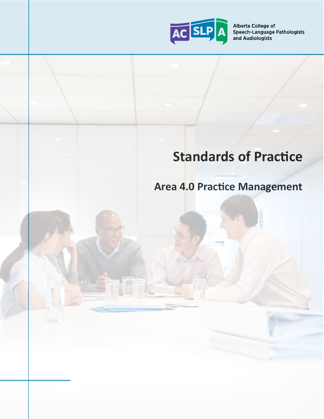

Alberta College of Speech-Language Pathologists and Audiologists

# **Standards of Practice**

# **Area 4.0 Practice Management**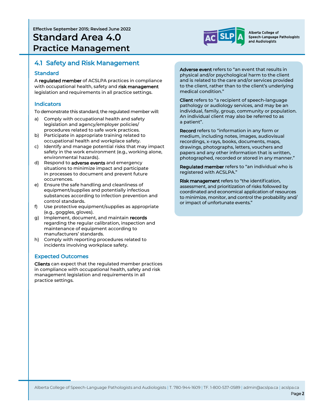**Effective September 2015; Revised June 2022 Standard Area 4.0 Practice Management**



Alberta College of Speech-Language Pathologists and Audiologists

### 4.1 Safety and Risk Management

#### **Standard**

A regulated member of ACSLPA practices in compliance with occupational health, safety and risk management legislation and requirements in all practice settings.

#### Indicators

To demonstrate this standard, the regulated member will:

- a) Comply with occupational health and safety legislation and agency/employer policies/ procedures related to safe work practices.
- b) Participate in appropriate training related to occupational health and workplace safety.
- c) Identify and manage potential risks that may impact safety in the work environment (e.g., working alone, environmental hazards).
- d) Respond to adverse events and emergency situations to minimize impact and participate in processes to document and prevent future occurrences.
- e) Ensure the safe handling and cleanliness of equipment/supplies and potentially infectious substances according to infection prevention and control standards.
- f) Use protective equipment/supplies as appropriate (e.g., goggles, gloves).
- g) Implement, document, and maintain records regarding the regular calibration, inspection and maintenance of equipment according to manufacturers' standards.
- h) Comply with reporting procedures related to incidents involving workplace safety.

#### Expected Outcomes

Clients can expect that the regulated member practices in compliance with occupational health, safety and risk management legislation and requirements in all practice settings.

Adverse event refers to "an event that results in physical and/or psychological harm to the client and is related to the care and/or services provided to the client, rather than to the client's underlying medical condition."

Client refers to "a recipient of speech-language pathology or audiology services, and may be an individual, family, group, community or population. An individual client may also be referred to as a patient".

Record refers to "information in any form or medium, including notes, images, audiovisual recordings, x-rays, books, documents, maps, drawings, photographs, letters, vouchers and papers and any other information that is written, photographed, recorded or stored in any manner."

Regulated member refers to "an individual who is registered with ACSLPA."

Risk management refers to "the identification, assessment, and prioritization of risks followed by coordinated and economical application of resources to minimize, monitor, and control the probability and/ or impact of unfortunate events."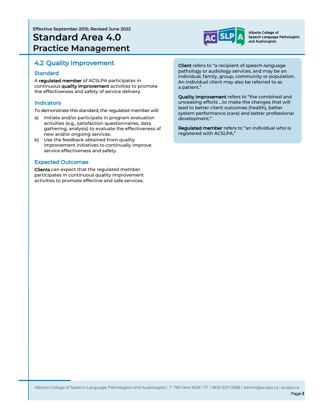**Effective September 2015; Revised June 2022 Standard Area 4.0 Practice Management**



Alberta College of Speech-Language Pathologists and Audiologists

### 4.2 Quality Improvement

#### Standard

A regulated member of ACSLPA participates in continuous quality improvement activities to promote the effectiveness and safety of service delivery.

#### **Indicators**

To demonstrate this standard, the regulated member will:

- a) Initiate and/or participate in program evaluation activities (e.g., satisfaction questionnaires, data gathering, analysis) to evaluate the effectiveness of new and/or ongoing services.
- b) Use the feedback obtained from quality improvement initiatives to continually improve service effectiveness and safety.

#### Expected Outcomes

Clients can expect that the regulated member participates in continuous quality improvement activities to promote effective and safe services.

Client refers to "a recipient of speech-language pathology or audiology services, and may be an individual, family, group, community or population. An individual client may also be referred to as a patient."

Quality improvement refers to "the combined and unceasing efforts …to make the changes that will lead to better client outcomes (health), better system performance (care) and better professional development."

Regulated member refers to "an individual who is registered with ACSLPA."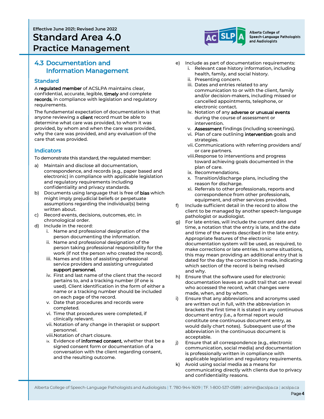**Effective June 2021; Revised June 2022**

# **Standard Area 4.0 Practice Management**

### 4.3 Documentation and Information Management

#### **Standard**

A regulated member of ACSLPA maintains clear, confidential, accurate, legible, timely and complete records, in compliance with legislation and regulatory requirements.

The fundamental expectation of documentation is that anyone reviewing a **client** record must be able to determine what care was provided, to whom it was provided, by whom and when the care was provided, why the care was provided, and any evaluation of the care that was provided.

#### **Indicators**

To demonstrate this standard, the regulated member:

- a) Maintain and disclose all documentation, correspondence, and records (e.g., paper based and electronic) in compliance with applicable legislation and regulatory requirements including confidentiality and privacy standards.
- b) Documents using language that is free of **bias** which might imply prejudicial beliefs or perpetuate assumptions regarding the individual(s) being written about.
- c) Record events, decisions, outcomes, etc. in chronological order.
- d) Include in the record:
	- i. Name and professional designation of the person documenting the information.
	- ii. Name and professional designation of the person taking professional responsibility for the work (if not the person who created the record).
	- iii. Names and titles of assisting professional service providers and assisting unregulated support personnel.
	- iv. First and last name of the client that the record pertains to, and a tracking number (if one is used). Client identification in the form of either a name or a tracking number should be included on each page of the record.
	- v. Date that procedures and records were completed.
	- vi. Time that procedures were completed, if clinically relevant.
	- vii. Notation of any change in therapist or support personnel.
	- viii.Notation of chart closure.
	- ix. Evidence of informed consent, whether that be a signed consent form or documentation of a conversation with the client regarding consent, and the resulting outcome.



Alberta College of Speech-Language Pathologists and Audiologists

- e) Include as part of documentation requirements:
	- i. Relevant case history information, including health, family, and social history.
	- ii. Presenting concern.
	- iii. Dates and entries related to any communication to or with the client, family and/or decision-makers, including missed or cancelled appointments, telephone, or electronic contact.
	- iv. Notation of any adverse or unusual events during the course of assessment or intervention.
	- v. **Assessment** findings (including screenings).
	- vi. Plan of care outlining intervention goals and strategies.
	- vii. Communications with referring providers and/ or care partners.
	- viii.Response to interventions and progress toward achieving goals documented in the plan of care.
	- ix. Recommendations.
	- x. Transition/discharge plans, including the reason for discharge.
	- xi. Referrals to other professionals, reports and correspondence from other professionals, equipment, and other services provided.
- f) Include sufficient detail in the record to allow the client to be managed by another speech-language pathologist or audiologist.
- g) For late entries, will include the current date and time, a notation that the entry is late, and the date and time of the events described in the late entry. Appropriate features of the electronic documentation system will be used, as required, to make corrections or late entries. In some situations, this may mean providing an additional entry that is dated for the day the correction is made, indicating which section of the record is being revised and why.
- h) Ensure that the software used for electronic documentation leaves an audit trail that can reveal who accessed the record, what changes were made, when, and by whom.
- Ensure that any abbreviations and acronyms used are written out in full, with the abbreviation in brackets the first time it is stated in any continuous document entry (i.e., a formal report would constitute one continuous document entry, as would daily chart notes). Subsequent use of the abbreviation in the continuous document is acceptable.
- j) Ensure that all correspondence (e.g., electronic communication, social media) and documentation is professionally written in compliance with applicable legislation and regulatory requirements.
- k) Avoid using social media as a means for communicating directly with clients due to privacy and confidentiality reasons.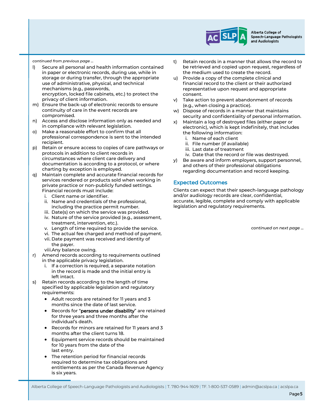

Alberta College of Speech-Language Pathologists and Audiologists

*continued from previous page …*

l) Secure all personal and health information contained in paper or electronic records, during use, while in storage or during transfer, through the appropriate use of administrative, physical, and technical mechanisms (e.g., passwords, encryption, locked file cabinets, etc.) to protect the

privacy of client information.

- m) Ensure the back-up of electronic records to ensure continuity of care in the event records are compromised.
- n) Access and disclose information only as needed and in compliance with relevant legislation.
- o) Make a reasonable effort to confirm that all professional correspondence is sent to the intended recipient.
- p) Retain or ensure access to copies of care pathways or protocols in addition to client records in circumstances where client care delivery and documentation is according to a protocol, or where charting by exception is employed.
- q) Maintain complete and accurate financial records for services rendered or products sold when working in private practice or non-publicly funded settings. Financial records must include:
	- i. Client name or identifier.
	- ii. Name and credentials of the professional, including the practice permit number.
	- iii. Date(s) on which the service was provided.
	- iv. Nature of the service provided (e.g., assessment, treatment, intervention, etc.).
	- v. Length of time required to provide the service.
	- vi. The actual fee charged and method of payment.
	- vii. Date payment was received and identity of the payer.
	- viii.Any balance owing.
- r) Amend records according to requirements outlined in the applicable privacy legislation.
	- i. If a correction is required, a separate notation in the record is made and the initial entry is left intact.
- s) Retain records according to the length of time specified by applicable legislation and regulatory requirements:
	- Adult records are retained for 11 years and 3 months since the date of last service.
	- Records for "persons under disability" are retained for three years and three months after the individual's death.
	- Records for minors are retained for 11 years and 3 months after the client turns 18.
	- Equipment service records should be maintained for 10 years from the date of the last entry.
	- The retention period for financial records required to determine tax obligations and entitlements as per the Canada Revenue Agency is six years.
- t) Retain records in a manner that allows the record to be retrieved and copied upon request, regardless of the medium used to create the record.
- u) Provide a copy of the complete clinical and financial record to the client or their authorized representative upon request and appropriate consent.
- v) Take action to prevent abandonment of records (e.g., when closing a practice).
- w) Dispose of records in a manner that maintains security and confidentiality of personal information.
- x) Maintain a log of destroyed files (either paper or electronic), which is kept indefinitely, that includes the following information:
	- i. Name of each client
	- ii. File number (if available)
	- iii. Last date of treatment
	- iv. Date that the record or file was destroyed.
- y) Be aware and inform employers, support personnel, and others of their professional obligations regarding documentation and record keeping.

#### Expected Outcomes

Clients can expect that their speech-language pathology and/or audiology records are clear, confidential, accurate, legible, complete and comply with applicable legislation and regulatory requirements.

*continued on next page ...* 

Alberta College of Speech-Language Pathologists and Audiologists | T. 780-944-1609 | TF. 1-800-537-0589 | admin@acslpa.ca | acslpa.ca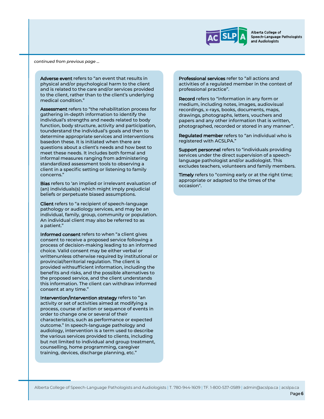

Alberta College of Speech-Language Pathologists and Audiologists

*continued from previous page …*

Adverse event refers to "an event that results in physical and/or psychological harm to the client and is related to the care and/or services provided to the client, rather than to the client's underlying medical condition."

Assessment refers to "the rehabilitation process for gathering in-depth information to identify the individual's strengths and needs related to body function, body structure, activity and participation, tounderstand the individual's goals and then to determine appropriate services and interventions basedon these. It is initiated when there are questions about a client's needs and how best to meet these needs. It includes both formal and informal measures ranging from administering standardized assessment tools to observing a client in a specific setting or listening to family concerns."

Bias refers to 'an implied or irrelevant evaluation of (an) individuals(s) which might imply prejudicial beliefs or perpetuate biased assumptions.

Client refers to "a recipient of speech-language pathology or audiology services, and may be an individual, family, group, community or population. An individual client may also be referred to as a patient."

Informed consent refers to when "a client gives consent to receive a proposed service following a process of decision-making leading to an informed choice. Valid consent may be either verbal or writtenunless otherwise required by institutional or provincial/territorial regulation. The client is provided withsufficient information, including the benefits and risks, and the possible alternatives to the proposed service, and the client understands this information. The client can withdraw informed consent at any time."

Intervention/intervention strategy refers to "an activity or set of activities aimed at modifying a process, course of action or sequence of events in order to change one or several of their characteristics, such as performance or expected outcome." In speech-language pathology and audiology, intervention is a term used to describe the various services provided to clients, including but not limited to individual and group treatment, counselling, home programming, caregiver training, devices, discharge planning, etc."

Professional services refer to "all actions and activities of a regulated member in the context of professional practice".

Record refers to "information in any form or medium, including notes, images, audiovisual recordings, x-rays, books, documents, maps, drawings, photographs, letters, vouchers and papers and any other information that is written, photographed, recorded or stored in any manner".

Requlated member refers to "an individual who is registered with ACSLPA."

Support personnel refers to "individuals providing services under the direct supervision of a speechlanguage pathologist and/or audiologist. This excludes teachers, volunteers and family members.

Timely refers to "coming early or at the right time; appropriate or adapted to the times of the occasion".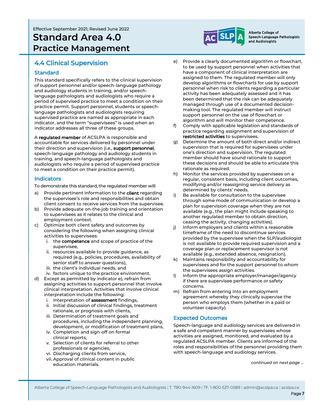Effective September 2021; Revised June 2022

# **Standard Area 4.0 Practice Management**



Alberta College of Speech-Language Pathologists and Audiologists

## 4.4 Clinical Supervision

#### **Standard**

This standard specifically refers to the clinical supervision of support personnel and/or speech-language pathology and audiology students in training, and/or speechlanguage pathologists and audiologists who require a period of supervised practice to meet a condition on their practice permit. Support personnel, students or speechlanguage pathologists and audiologists requiring supervised practice are named as appropriate in each indicator, and the term "supervisees" is used when an indicator addresses all three of these groups.

A regulated member of ACSLPA is responsible and accountable for services delivered by personnel under their direction and supervision (i.e., support personnel, speech-language pathology and audiology students in training, and speech-language pathologists and audiologists who require a period of supervised practice to meet a condition on their practice permit).

#### Indicators

To demonstrate this standard, the regulated member will:

- a) Provide pertinent information to the client regarding the supervisee's role and responsibilities and obtain client consent to receive services from the supervisee.
- b) Provide adequate on-the-job training and orientation to supervisees as it relates to the clinical and employment context.
- c) Optimize both client safety and outcomes by considering the following when assigning clinical activities to supervisees:
	- i. the competence and scope of practice of the supervisee,
	- ii. resources available to provide guidance, as required (e.g., policies, procedures, availability of senior staff to answer questions),
	- iii. the client's individual needs, and
	- iv. factors unique to the practice environment.
- d) Except as permitted by indicator e), refrain from assigning activities to support personnel that involve clinical interpretation. Activities that involve clinical interpretation include the following:
	- i. Interpretation of **assessment** findings,
	- ii. Initial discussion of clinical findings, treatment rationale, or prognosis with clients,
	- iii. Determination of treatment goals and procedures, including the independent planning, development, or modification of treatment plans,
	- iv. Completion and sign-off on formal clinical reports,
	- v. Selection of clients for referral to other professionals or agencies,
	- vi. Discharging clients from service,
	- vii. Approval of clinical content in public education materials.
- e) Provide a clearly documented algorithm or flowchart, to be used by support personnel when activities that have a component of clinical interpretation are assigned to them. The regulated member will only develop algorithms or flowcharts for use by support personnel when risk to clients regarding a particular activity has been adequately assessed and it has been determined that the risk can be adequately managed through use of a documented decisionmaking tool. The regulated member will instruct support personnel on the use of flowchart or algorithm and will monitor their competence.
- Comply with applicable legislation and standards of practice regarding assignment and supervision of restricted activities to supervisees.
- g) Determine the amount of both direct and/or indirect supervision that is required for supervisees under one's direction and supervision. The regulated member should have sound rationale to support these decisions and should be able to articulate this rationale as required.
- h) Monitor the services provided by supervisees on a regular, consistent basis, including client outcomes, modifying and/or reassigning service delivery as determined by clients' needs.
- i) Be available for consultation to the supervisee through some mode of communication or develop a plan for supervision coverage when they are not available (e.g., the plan might include speaking to another regulated member to obtain direction, ceasing the activity, changing activities).
- j) Inform employers and clients within a reasonable timeframe of the need to discontinue services provided by the supervisee when the SLP/audiologist is not available to provide required supervision and a coverage plan or replacement supervisor is not available (e.g., extended absence, resignation).
- k) Maintains responsibility and accountability for supervisees and for the support personnel to whom the supervisees assign activities.
- l) Inform the appropriate employer/manager/agency if there are supervisee performance or safety concerns.
- m) Refrain from entering into an employment agreement whereby they clinically supervise the person who employs them (whether in a paid or volunteer capacity).

#### Expected Outcomes

Speech-language and audiology services are delivered in a safe and competent manner by supervisees whose activities are assigned, monitored, and evaluated by a regulated ACSLPA member. Clients are informed of the roles and responsibilities of the personnel providing them with speech-language and audiology services.

*continued on next page …*

Alberta College of Speech-Language Pathologists and Audiologists | T. 780-944-1609 | TF. 1-800-537-0589 | admin@acslpa.ca | acslpa.ca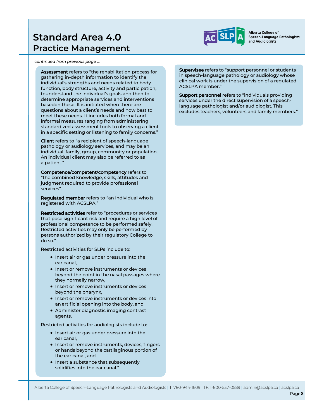# **Standard Area 4.0 Practice Management**



Alberta College of Speech-Language Pathologists and Audiologists

*continued from previous page …*

Assessment refers to "the rehabilitation process for gathering in-depth information to identify the individual's strengths and needs related to body function, body structure, activity and participation, tounderstand the individual's goals and then to determine appropriate services and interventions basedon these. It is initiated when there are questions about a client's needs and how best to meet these needs. It includes both formal and informal measures ranging from administering standardized assessment tools to observing a client in a specific setting or listening to family concerns."

Client refers to "a recipient of speech-language pathology or audiology services, and may be an individual, family, group, community or population. An individual client may also be referred to as a patient."

Competence/competent/competency refers to "the combined knowledge, skills, attitudes and judgment required to provide professional services".

Regulated member refers to "an individual who is registered with ACSLPA."

Restricted activities refer to "procedures or services that pose significant risk and require a high level of professional competence to be performed safely. Restricted activities may only be performed by persons authorized by their regulatory College to do so."

Restricted activities for SLPs include to:

- Insert air or gas under pressure into the ear canal,
- Insert or remove instruments or devices beyond the point in the nasal passages where they normally narrow,
- Insert or remove instruments or devices beyond the pharynx,
- Insert or remove instruments or devices into an artificial opening into the body, and
- Administer diagnostic imaging contrast agents.

Restricted activities for audiologists include to:

- Insert air or gas under pressure into the ear canal,
- Insert or remove instruments, devices, fingers or hands beyond the cartilaginous portion of the ear canal, and
- Insert a substance that subsequently solidifies into the ear canal."

Supervisee refers to "support personnel or students in speech-language pathology or audiology whose clinical work is under the supervision of a regulated ACSLPA member."

Support personnel refers to "individuals providing services under the direct supervision of a speechlanguage pathologist and/or audiologist. This excludes teachers, volunteers and family members."

Alberta College of Speech-Language Pathologists and Audiologists | T. 780-944-1609 | TF. 1-800-537-0589 | admin@acslpa.ca | acslpa.ca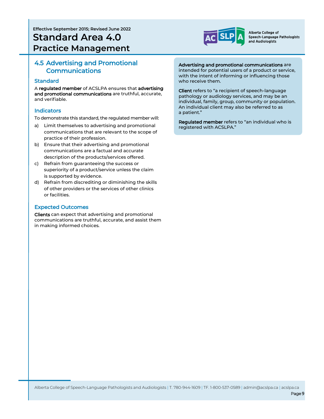**Effective September 2015; Revised June 2022**

# **Standard Area 4.0 Practice Management**



Alberta College of Speech-Language Pathologists and Audiologists

### 4.5 Advertising and Promotional Communications

#### **Standard**

A regulated member of ACSLPA ensures that advertising and promotional communications are truthful, accurate, and verifiable.

#### Indicators

To demonstrate this standard, the regulated member will:

- a) Limit themselves to advertising and promotional communications that are relevant to the scope of practice of their profession.
- b) Ensure that their advertising and promotional communications are a factual and accurate description of the products/services offered.
- c) Refrain from guaranteeing the success or superiority of a product/service unless the claim is supported by evidence.
- d) Refrain from discrediting or diminishing the skills of other providers or the services of other clinics or facilities.

#### Expected Outcomes

Clients can expect that advertising and promotional communications are truthful, accurate, and assist them in making informed choices.

#### Advertising and promotional communications are

intended for potential users of a product or service, with the intent of informing or influencing those who receive them.

Client refers to "a recipient of speech-language pathology or audiology services, and may be an individual, family, group, community or population. An individual client may also be referred to as a patient."

Regulated member refers to "an individual who is registered with ACSLPA."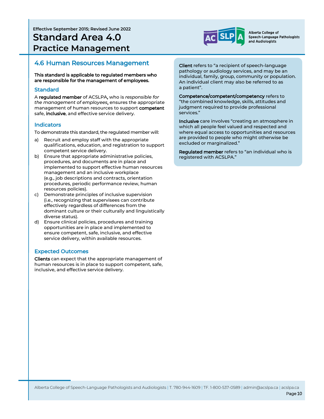**Effective September 2015; Revised June 2022**

# **Standard Area 4.0 Practice Management**



Alberta College of Speech-Language Pathologists and Audiologists

### 4.6 Human Resources Management

This standard is applicable to regulated members who are responsible for the management of employees.

#### **Standard**

A regulated member of ACSLPA, who is *responsible for the management of employees*, ensures the appropriate management of human resources to support competent safe, inclusive, and effective service delivery.

#### Indicators

To demonstrate this standard, the regulated member will:

- a) Recruit and employ staff with the appropriate qualifications, education, and registration to support competent service delivery.
- b) Ensure that appropriate administrative policies, procedures, and documents are in place and implemented to support effective human resources management and an inclusive workplace (e.g., job descriptions and contracts, orientation procedures, periodic performance review, human resources policies).
- c) Demonstrate principles of inclusive supervision (i.e., recognizing that supervisees can contribute effectively regardless of differences from the dominant culture or their culturally and linguistically diverse status).
- d) Ensure clinical policies, procedures and training opportunities are in place and implemented to ensure competent, safe, inclusive, and effective service delivery, within available resources.

#### Expected Outcomes

Clients can expect that the appropriate management of human resources is in place to support competent, safe, inclusive, and effective service delivery.

Client refers to "a recipient of speech-language pathology or audiology services, and may be an individual, family, group, community or population. An individual client may also be referred to as a patient".

Competence/competent/competency refers to "the combined knowledge, skills, attitudes and judgment required to provide professional services."

Inclusive care involves "creating an atmosphere in which all people feel valued and respected and where equal access to opportunities and resources are provided to people who might otherwise be excluded or marginalized."

Regulated member refers to "an individual who is registered with ACSLPA."